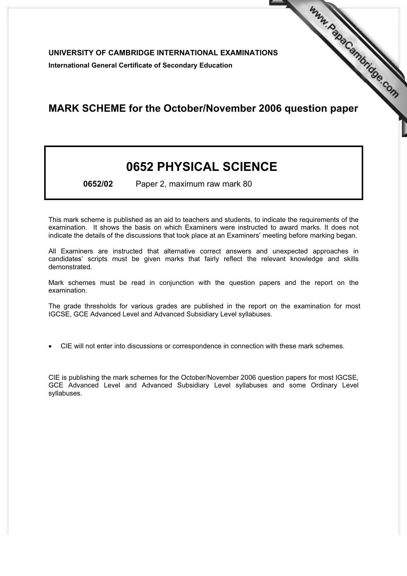UNIVERSITY OF CAMBRIDGE INTERNATIONAL EXAMINATIONS International General Certificate of Secondary Education

## MARK SCHEME for the October/November 2006 question paper **www.PapaCambridge.com**

## 0652 PHYSICAL SCIENCE

0652/02 Paper 2, maximum raw mark 80

This mark scheme is published as an aid to teachers and students, to indicate the requirements of the examination. It shows the basis on which Examiners were instructed to award marks. It does not indicate the details of the discussions that took place at an Examiners' meeting before marking began.

All Examiners are instructed that alternative correct answers and unexpected approaches in candidates' scripts must be given marks that fairly reflect the relevant knowledge and skills demonstrated.

Mark schemes must be read in conjunction with the question papers and the report on the examination.

The grade thresholds for various grades are published in the report on the examination for most IGCSE, GCE Advanced Level and Advanced Subsidiary Level syllabuses.

*•* CIE will not enter into discussions or correspondence in connection with these mark schemes.

CIE is publishing the mark schemes for the October/November 2006 question papers for most IGCSE, GCE Advanced Level and Advanced Subsidiary Level syllabuses and some Ordinary Level syllabuses.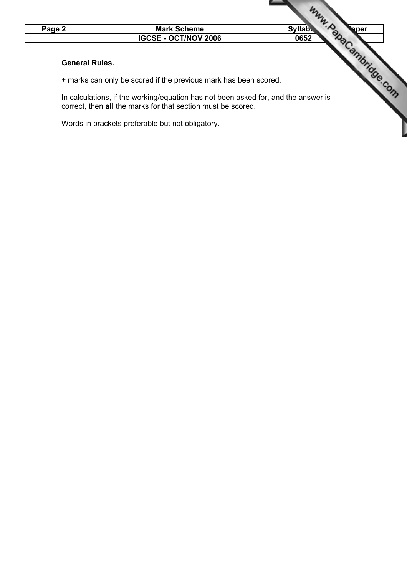

+ marks can only be scored if the previous mark has been scored.

In calculations, if the working/equation has not been asked for, and the answer is correct, then all the marks for that section must be scored.

Words in brackets preferable but not obligatory.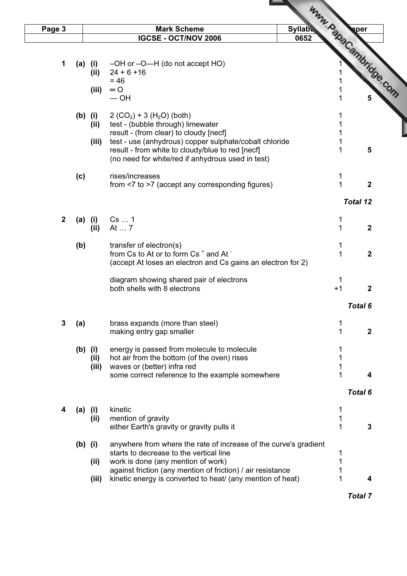| Page 3       |           |         | <b>Mark Scheme</b><br><b>Syllabu</b>                                                                       |                                |
|--------------|-----------|---------|------------------------------------------------------------------------------------------------------------|--------------------------------|
|              |           |         | <b>IGCSE - OCT/NOV 2006</b><br>0652                                                                        |                                |
|              |           |         |                                                                                                            |                                |
| 1            |           | (a) (i) | -OH or -O-H (do not accept HO)                                                                             |                                |
|              |           | (ii)    | $24 + 6 + 16$                                                                                              |                                |
|              |           | (iii)   | $= 46$<br>$= 0$                                                                                            |                                |
|              |           |         | $-$ OH                                                                                                     | <b>Www.PapaCambridge.com</b>   |
|              | $(b)$ (i) |         | $2 (CO2) + 3 (H2O) (both)$                                                                                 |                                |
|              |           | (ii)    | test - (bubble through) limewater                                                                          | 1                              |
|              |           |         | result - (from clear) to cloudy [necf]                                                                     | 1<br>1                         |
|              |           | (iii)   | test - use (anhydrous) copper sulphate/cobalt chloride<br>result - from white to cloudy/blue to red [necf] | 5                              |
|              |           |         | (no need for white/red if anhydrous used in test)                                                          |                                |
|              | (c)       |         | rises/increases                                                                                            | 1                              |
|              |           |         | from <7 to >7 (accept any corresponding figures)                                                           | $\mathbf{1}$<br>$\overline{2}$ |
|              |           |         |                                                                                                            | <b>Total 12</b>                |
| $\mathbf{2}$ | $(a)$ (i) |         | Cs  1                                                                                                      | 1                              |
|              |           | (ii)    | At  7                                                                                                      | 1<br>$\mathbf{2}$              |
|              |           |         | transfer of electron(s)                                                                                    | 1                              |
|              | (b)       |         | from Cs to At or to form Cs <sup>+</sup> and At <sup>-</sup>                                               | 1<br>$\mathbf{2}$              |
|              |           |         | (accept At loses an electron and Cs gains an electron for 2)                                               |                                |
|              |           |         | diagram showing shared pair of electrons                                                                   | 1                              |
|              |           |         | both shells with 8 electrons                                                                               | $+1$<br>2                      |
|              |           |         |                                                                                                            | Total 6                        |
| $\mathbf{3}$ | (a)       |         | brass expands (more than steel)                                                                            | 1                              |
|              |           |         | making entry gap smaller                                                                                   | 1<br>$\mathbf{2}$              |
|              | $(b)$ (i) |         | energy is passed from molecule to molecule                                                                 |                                |
|              |           | (ii)    | hot air from the bottom (of the oven) rises                                                                |                                |
|              |           | (iii)   | waves or (better) infra red                                                                                |                                |
|              |           |         | some correct reference to the example somewhere                                                            | 1<br>4                         |
|              |           |         |                                                                                                            | Total 6                        |
| 4            | $(a)$ (i) |         | kinetic                                                                                                    | 1                              |
|              |           | (ii)    | mention of gravity                                                                                         | 1                              |
|              |           |         | either Earth's gravity or gravity pulls it                                                                 | 1<br>$\mathbf{3}$              |
|              | $(b)$ (i) |         | anywhere from where the rate of increase of the curve's gradient                                           |                                |
|              |           |         | starts to decrease to the vertical line                                                                    | 1                              |
|              |           | (i)     | work is done (any mention of work)<br>against friction (any mention of friction) / air resistance          | 1                              |
|              |           | (iii)   | kinetic energy is converted to heat/ (any mention of heat)                                                 | 1<br>4                         |
|              |           |         |                                                                                                            | <b>Total 7</b>                 |
|              |           |         |                                                                                                            |                                |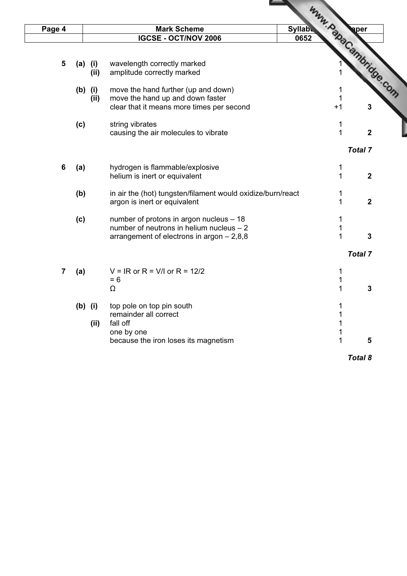| Page 4                  |           |      | <b>Mark Scheme</b>                                                                   | <b>Syllabu</b>        |                |              |
|-------------------------|-----------|------|--------------------------------------------------------------------------------------|-----------------------|----------------|--------------|
|                         |           |      | <b>IGCSE - OCT/NOV 2006</b>                                                          | 0652                  |                |              |
|                         |           |      |                                                                                      |                       |                |              |
| 5                       | $(a)$ (i) |      | wavelength correctly marked                                                          | Www.papaCambridge.com |                |              |
|                         |           | (ii) | amplitude correctly marked                                                           |                       |                |              |
|                         |           |      |                                                                                      |                       |                |              |
|                         | $(b)$ (i) |      | move the hand further (up and down)                                                  |                       |                |              |
|                         |           | (ii) | move the hand up and down faster                                                     |                       |                |              |
|                         |           |      | clear that it means more times per second                                            | $+1$                  |                | 3            |
|                         | (c)       |      | string vibrates                                                                      |                       | 1              |              |
|                         |           |      | causing the air molecules to vibrate                                                 |                       | $\mathbf{1}$   | $\mathbf{2}$ |
|                         |           |      |                                                                                      |                       | <b>Total 7</b> |              |
| $\boldsymbol{6}$        | (a)       |      | hydrogen is flammable/explosive                                                      |                       | 1              |              |
|                         |           |      | helium is inert or equivalent                                                        |                       | $\mathbf{1}$   | $\mathbf{2}$ |
|                         | (b)       |      | in air the (hot) tungsten/filament would oxidize/burn/react                          |                       | 1              |              |
|                         |           |      | argon is inert or equivalent                                                         |                       | 1              | $\mathbf{2}$ |
|                         |           |      |                                                                                      |                       |                |              |
|                         | (c)       |      | number of protons in argon nucleus - 18<br>number of neutrons in helium nucleus $-2$ |                       | 1<br>1         |              |
|                         |           |      | arrangement of electrons in argon $-2,8,8$                                           |                       | 1              | 3            |
|                         |           |      |                                                                                      |                       |                |              |
|                         |           |      |                                                                                      |                       | <b>Total 7</b> |              |
| $\overline{\mathbf{7}}$ | (a)       |      | $V = IR$ or R = V/I or R = 12/2                                                      |                       | 1              |              |
|                         |           |      | $= 6$                                                                                |                       | 1              |              |
|                         |           |      | Ω                                                                                    |                       | 1              | 3            |
|                         | $(b)$ (i) |      | top pole on top pin south                                                            |                       |                |              |
|                         |           |      | remainder all correct                                                                |                       |                |              |
|                         |           | (ii) | fall off                                                                             |                       |                |              |
|                         |           |      | one by one                                                                           |                       | 1              |              |
|                         |           |      | because the iron loses its magnetism                                                 |                       | 1              | 5            |